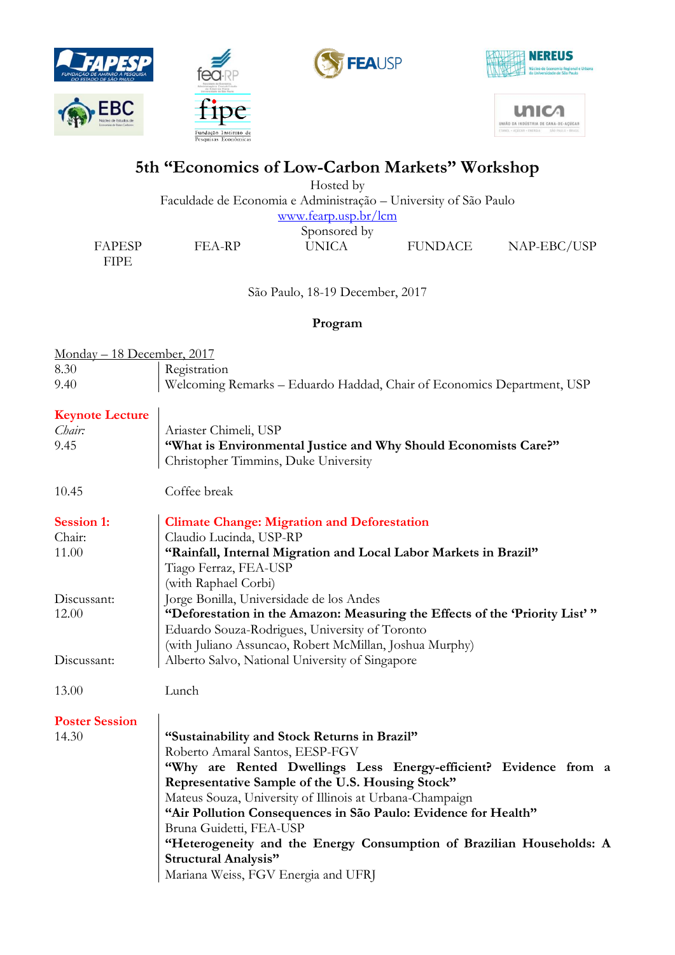







unic ÃO DA INDÚSTRIA DE CANA-DE-ACÚCAR

# **5th "Economics of Low-Carbon Markets" Workshop**

Hosted by Faculdade de Economia e Administração – University of São Paulo [www.fearp.usp.br/lcm](http://www.fearp.usp.br/lcm) Sponsored by FAPESP FEA-RP UNICA FUNDACE NAP-EBC/USP

FIPE

São Paulo, 18-19 December, 2017

### **Program**

| Monday - 18 December, 2017 |                                                                                                         |
|----------------------------|---------------------------------------------------------------------------------------------------------|
| 8.30                       | Registration                                                                                            |
| 9.40                       | Welcoming Remarks - Eduardo Haddad, Chair of Economics Department, USP                                  |
| <b>Keynote Lecture</b>     |                                                                                                         |
| Chair:                     | Ariaster Chimeli, USP                                                                                   |
| 9.45                       | "What is Environmental Justice and Why Should Economists Care?"<br>Christopher Timmins, Duke University |
| 10.45                      | Coffee break                                                                                            |
| <b>Session 1:</b>          | <b>Climate Change: Migration and Deforestation</b>                                                      |
| Chair:                     | Claudio Lucinda, USP-RP                                                                                 |
| 11.00                      | "Rainfall, Internal Migration and Local Labor Markets in Brazil"                                        |
|                            | Tiago Ferraz, FEA-USP                                                                                   |
|                            | (with Raphael Corbi)                                                                                    |
| Discussant:                | Jorge Bonilla, Universidade de los Andes                                                                |
| 12.00                      | "Deforestation in the Amazon: Measuring the Effects of the 'Priority List'"                             |
|                            | Eduardo Souza-Rodrigues, University of Toronto                                                          |
|                            | (with Juliano Assuncao, Robert McMillan, Joshua Murphy)                                                 |
| Discussant:                | Alberto Salvo, National University of Singapore                                                         |
| 13.00                      | Lunch                                                                                                   |
| <b>Poster Session</b>      |                                                                                                         |
| 14.30                      | "Sustainability and Stock Returns in Brazil"                                                            |
|                            | Roberto Amaral Santos, EESP-FGV                                                                         |
|                            | "Why are Rented Dwellings Less Energy-efficient? Evidence from a                                        |
|                            | Representative Sample of the U.S. Housing Stock"                                                        |
|                            | Mateus Souza, University of Illinois at Urbana-Champaign                                                |
|                            | "Air Pollution Consequences in São Paulo: Evidence for Health"                                          |
|                            | Bruna Guidetti, FEA-USP                                                                                 |
|                            | "Heterogeneity and the Energy Consumption of Brazilian Households: A                                    |
|                            | <b>Structural Analysis"</b>                                                                             |
|                            | Mariana Weiss, FGV Energia and UFRJ                                                                     |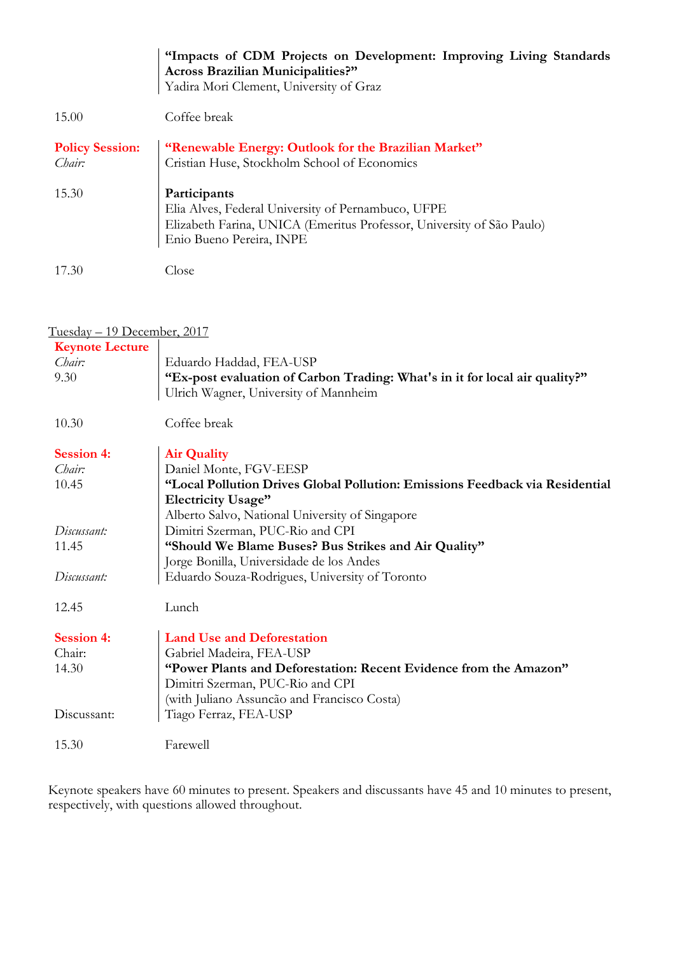|                        | "Impacts of CDM Projects on Development: Improving Living Standards<br><b>Across Brazilian Municipalities?"</b> |
|------------------------|-----------------------------------------------------------------------------------------------------------------|
|                        | Yadira Mori Clement, University of Graz                                                                         |
| 15.00                  | Coffee break                                                                                                    |
| <b>Policy Session:</b> | "Renewable Energy: Outlook for the Brazilian Market"                                                            |
| Chair:                 | Cristian Huse, Stockholm School of Economics                                                                    |
| 15.30                  | Participants                                                                                                    |
|                        | Elia Alves, Federal University of Pernambuco, UFPE                                                              |
|                        | Elizabeth Farina, UNICA (Emeritus Professor, University of São Paulo)                                           |
|                        | Enio Bueno Pereira, INPE                                                                                        |
| 17.30                  | Close                                                                                                           |

| <u>Tuesday – 19 December, 2017</u> |                                                                              |  |
|------------------------------------|------------------------------------------------------------------------------|--|
| <b>Keynote Lecture</b>             |                                                                              |  |
| Chair:                             | Eduardo Haddad, FEA-USP                                                      |  |
| 9.30                               | "Ex-post evaluation of Carbon Trading: What's in it for local air quality?"  |  |
|                                    | Ulrich Wagner, University of Mannheim                                        |  |
| 10.30                              | Coffee break                                                                 |  |
| <b>Session 4:</b>                  | <b>Air Quality</b>                                                           |  |
| Chair:                             | Daniel Monte, FGV-EESP                                                       |  |
| 10.45                              | "Local Pollution Drives Global Pollution: Emissions Feedback via Residential |  |
|                                    | <b>Electricity Usage"</b>                                                    |  |
|                                    | Alberto Salvo, National University of Singapore                              |  |
| Discussant:                        | Dimitri Szerman, PUC-Rio and CPI                                             |  |
| 11.45                              | "Should We Blame Buses? Bus Strikes and Air Quality"                         |  |
|                                    | Jorge Bonilla, Universidade de los Andes                                     |  |
| Discussant:                        | Eduardo Souza-Rodrigues, University of Toronto                               |  |
| 12.45                              | Lunch                                                                        |  |
|                                    |                                                                              |  |
| <b>Session 4:</b>                  | <b>Land Use and Deforestation</b>                                            |  |
| Chair:                             | Gabriel Madeira, FEA-USP                                                     |  |
| 14.30                              | "Power Plants and Deforestation: Recent Evidence from the Amazon"            |  |
|                                    | Dimitri Szerman, PUC-Rio and CPI                                             |  |
|                                    | (with Juliano Assuncão and Francisco Costa)                                  |  |
| Discussant:                        | Tiago Ferraz, FEA-USP                                                        |  |
| 15.30                              | Farewell                                                                     |  |
|                                    |                                                                              |  |

Keynote speakers have 60 minutes to present. Speakers and discussants have 45 and 10 minutes to present, respectively, with questions allowed throughout.